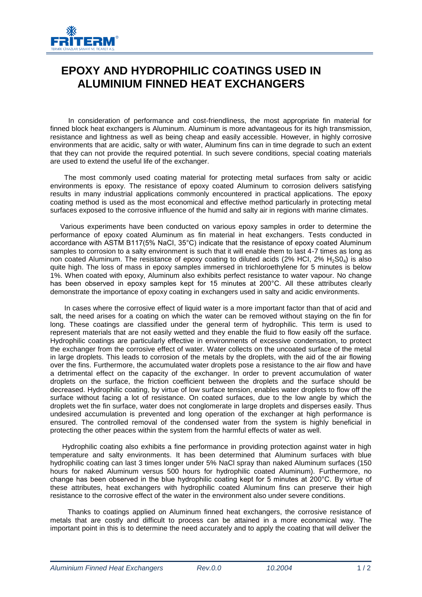

## **EPOXY AND HYDROPHILIC COATINGS USED IN ALUMINIUM FINNED HEAT EXCHANGERS**

In consideration of performance and cost-friendliness, the most appropriate fin material for finned block heat exchangers is Aluminum. Aluminum is more advantageous for its high transmission, resistance and lightness as well as being cheap and easily accessible. However, in highly corrosive environments that are acidic, salty or with water, Aluminum fins can in time degrade to such an extent that they can not provide the required potential. In such severe conditions, special coating materials are used to extend the useful life of the exchanger.

The most commonly used coating material for protecting metal surfaces from salty or acidic environments is epoxy. The resistance of epoxy coated Aluminum to corrosion delivers satisfying results in many industrial applications commonly encountered in practical applications. The epoxy coating method is used as the most economical and effective method particularly in protecting metal surfaces exposed to the corrosive influence of the humid and salty air in regions with marine climates.

Various experiments have been conducted on various epoxy samples in order to determine the performance of epoxy coated Aluminum as fin material in heat exchangers. Tests conducted in accordance with ASTM B117(5% NaCI, 35°C) indicate that the resistance of epoxy coated Aluminum samples to corrosion to a salty environment is such that it will enable them to last 4-7 times as long as non coated Aluminum. The resistance of epoxy coating to diluted acids (2% HCI, 2% H<sub>2</sub>S0<sub>4</sub>) is also quite high. The loss of mass in epoxy samples immersed in trichloroethylene for 5 minutes is below 1%. When coated with epoxy, Aluminum also exhibits perfect resistance to water vapour. No change has been observed in epoxy samples kept for 15 minutes at 200°C. All these attributes clearly demonstrate the importance of epoxy coating in exchangers used in salty and acidic environments.

In cases where the corrosive effect of liquid water is a more important factor than that of acid and salt, the need arises for a coating on which the water can be removed without staying on the fin for long. These coatings are classified under the general term of hydrophilic. This term is used to represent materials that are not easily wetted and they enable the fluid to flow easily off the surface. Hydrophilic coatings are particularly effective in environments of excessive condensation, to protect the exchanger from the corrosive effect of water. Water collects on the uncoated surface of the metal in large droplets. This leads to corrosion of the metals by the droplets, with the aid of the air flowing over the fins. Furthermore, the accumulated water droplets pose a resistance to the air flow and have a detrimental effect on the capacity of the exchanger. In order to prevent accumulation of water droplets on the surface, the friction coefficient between the droplets and the surface should be decreased. Hydrophilic coating, by virtue of low surface tension, enables water droplets to flow off the surface without facing a lot of resistance. On coated surfaces, due to the low angle by which the droplets wet the fin surface, water does not conglomerate in large droplets and disperses easily. Thus undesired accumulation is prevented and long operation of the exchanger at high performance is ensured. The controlled removal of the condensed water from the system is highly beneficial in protecting the other peaces within the system from the harmful effects of water as well.

Hydrophilic coating also exhibits a fine performance in providing protection against water in high temperature and salty environments. It has been determined that Aluminum surfaces with blue hydrophilic coating can last 3 times longer under 5% NaCl spray than naked Aluminum surfaces (150 hours for naked Aluminum versus 500 hours for hydrophilic coated Aluminum). Furthermore, no change has been observed in the blue hydrophilic coating kept for 5 minutes at 200°C. By virtue of these attributes, heat exchangers with hydrophilic coated Aluminum fins can preserve their high resistance to the corrosive effect of the water in the environment also under severe conditions.

Thanks to coatings applied on Aluminum finned heat exchangers, the corrosive resistance of metals that are costly and difficult to process can be attained in a more economical way. The important point in this is to determine the need accurately and to apply the coating that will deliver the